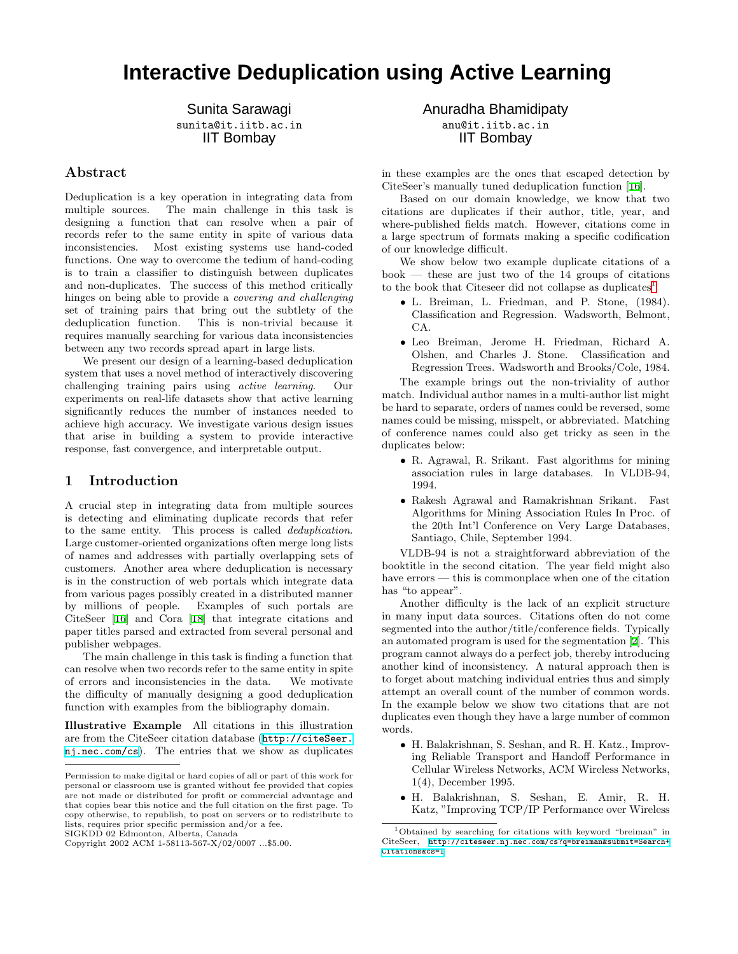# **Interactive Deduplication using Active Learning**

Sunita Sarawagi sunita@it.iitb.ac.in IIT Bombay

# Abstract

Deduplication is a key operation in integrating data from multiple sources. The main challenge in this task is designing a function that can resolve when a pair of records refer to the same entity in spite of various data inconsistencies. Most existing systems use hand-coded functions. One way to overcome the tedium of hand-coding is to train a classifier to distinguish between duplicates and non-duplicates. The success of this method critically hinges on being able to provide a covering and challenging set of training pairs that bring out the subtlety of the deduplication function. This is non-trivial because it requires manually searching for various data inconsistencies between any two records spread apart in large lists.

We present our design of a learning-based deduplication system that uses a novel method of interactively discovering challenging training pairs using active learning. Our experiments on real-life datasets show that active learning significantly reduces the number of instances needed to achieve high accuracy. We investigate various design issues that arise in building a system to provide interactive response, fast convergence, and interpretable output.

## 1 Introduction

A crucial step in integrating data from multiple sources is detecting and eliminating duplicate records that refer to the same entity. This process is called deduplication. Large customer-oriented organizations often merge long lists of names and addresses with partially overlapping sets of customers. Another area where deduplication is necessary is in the construction of web portals which integrate data from various pages possibly created in a distributed manner by millions of people. Examples of such portals are CiteSeer [\[16](#page-9-0)] and Cora [\[18](#page-9-1)] that integrate citations and paper titles parsed and extracted from several personal and publisher webpages.

The main challenge in this task is finding a function that can resolve when two records refer to the same entity in spite of errors and inconsistencies in the data. We motivate the difficulty of manually designing a good deduplication function with examples from the bibliography domain.

Illustrative Example All citations in this illustration are from the CiteSeer citation database ([http://citeSeer.](http://citeSeer.nj.nec.com/cs) [nj.nec.com/cs](http://citeSeer.nj.nec.com/cs)). The entries that we show as duplicates Anuradha Bhamidipaty anu@it.iitb.ac.in IIT Bombay

in these examples are the ones that escaped detection by CiteSeer's manually tuned deduplication function[[16](#page-9-0)].

Based on our domain knowledge, we know that two citations are duplicates if their author, title, year, and where-published fields match. However, citations come in a large spectrum of formats making a specific codification of our knowledge difficult.

We show below two example duplicate citations of a  $book$  — these are just two of the 14 groups of citations to the book that Citeseer did not collapse as duplicates<sup>[1](#page-0-0)</sup>

- L. Breiman, L. Friedman, and P. Stone, (1984). Classification and Regression. Wadsworth, Belmont, CA.
- Leo Breiman, Jerome H. Friedman, Richard A. Olshen, and Charles J. Stone. Classification and Regression Trees. Wadsworth and Brooks/Cole, 1984.

The example brings out the non-triviality of author match. Individual author names in a multi-author list might be hard to separate, orders of names could be reversed, some names could be missing, misspelt, or abbreviated. Matching of conference names could also get tricky as seen in the duplicates below:

- R. Agrawal, R. Srikant. Fast algorithms for mining association rules in large databases. In VLDB-94, 1994.
- Rakesh Agrawal and Ramakrishnan Srikant. Fast Algorithms for Mining Association Rules In Proc. of the 20th Int'l Conference on Very Large Databases, Santiago, Chile, September 1994.

VLDB-94 is not a straightforward abbreviation of the booktitle in the second citation. The year field might also have errors — this is commonplace when one of the citation has "to appear".

Another difficulty is the lack of an explicit structure in many input data sources. Citations often do not come segmented into the author/title/conference fields. Typically an automated program is used for the segmentation [\[2](#page-8-0)]. This program cannot always do a perfect job, thereby introducing another kind of inconsistency. A natural approach then is to forget about matching individual entries thus and simply attempt an overall count of the number of common words. In the example below we show two citations that are not duplicates even though they have a large number of common words.

- H. Balakrishnan, S. Seshan, and R. H. Katz., Improving Reliable Transport and Handoff Performance in Cellular Wireless Networks, ACM Wireless Networks, 1(4), December 1995.
- H. Balakrishnan, S. Seshan, E. Amir, R. H. Katz, "Improving TCP/IP Performance over Wireless

Permission to make digital or hard copies of all or part of this work for personal or classroom use is granted without fee provided that copies are not made or distributed for profit or commercial advantage and that copies bear this notice and the full citation on the first page. To copy otherwise, to republish, to post on servers or to redistribute to lists, requires prior specific permission and/or a fee.

SIGKDD 02 Edmonton, Alberta, Canada

Copyright 2002 ACM 1-58113-567-X/02/0007 ...\$5.00.

<span id="page-0-0"></span> $^1\rm{Obtained}$  by searching for citations with keyword "breiman" in CiteSeer, [http://citeseer.nj.nec.com/cs?q=breiman&submit=Search+](http://citeseer.nj.nec.com/cs?q=breiman&submit=Search+Citations&cs=1) [Citations&cs=1](http://citeseer.nj.nec.com/cs?q=breiman&submit=Search+Citations&cs=1)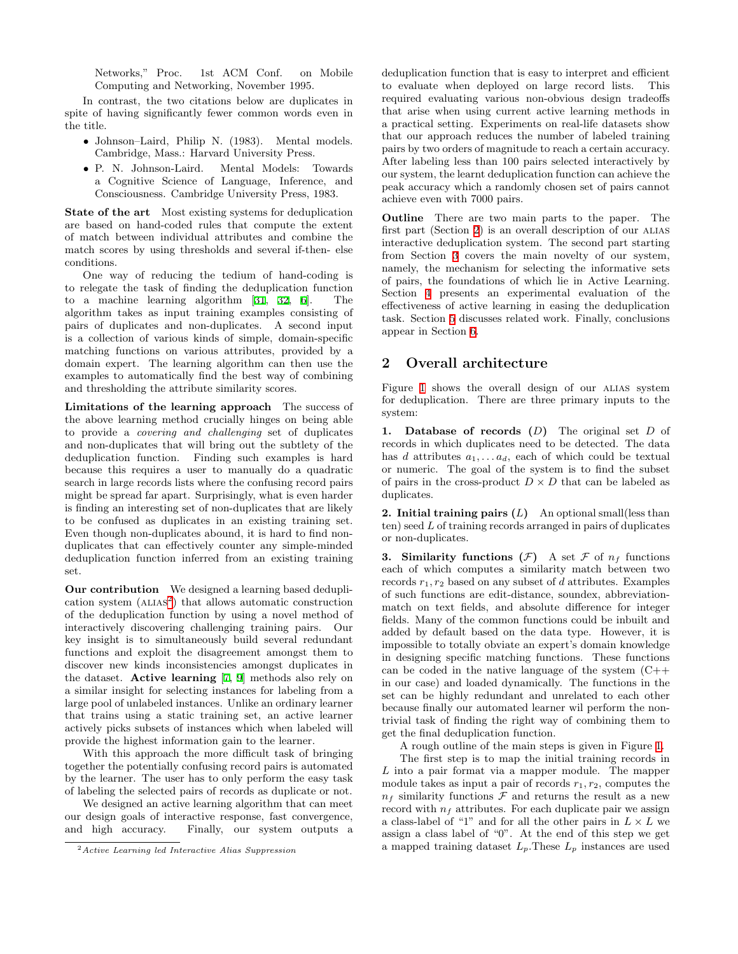Networks," Proc. 1st ACM Conf. on Mobile Computing and Networking, November 1995.

In contrast, the two citations below are duplicates in spite of having significantly fewer common words even in the title.

- Johnson–Laird, Philip N. (1983). Mental models. Cambridge, Mass.: Harvard University Press.
- P. N. Johnson-Laird. Mental Models: Towards a Cognitive Science of Language, Inference, and Consciousness. Cambridge University Press, 1983.

State of the art Most existing systems for deduplication are based on hand-coded rules that compute the extent of match between individual attributes and combine the match scores by using thresholds and several if-then- else conditions.

One way of reducing the tedium of hand-coding is to relegate the task of finding the deduplication function to a machine learning algorithm [\[31](#page-9-2), [32,](#page-9-3) [6](#page-9-4)]. The algorithm takes as input training examples consisting of pairs of duplicates and non-duplicates. A second input is a collection of various kinds of simple, domain-specific matching functions on various attributes, provided by a domain expert. The learning algorithm can then use the examples to automatically find the best way of combining and thresholding the attribute similarity scores.

Limitations of the learning approach The success of the above learning method crucially hinges on being able to provide a covering and challenging set of duplicates and non-duplicates that will bring out the subtlety of the deduplication function. Finding such examples is hard because this requires a user to manually do a quadratic search in large records lists where the confusing record pairs might be spread far apart. Surprisingly, what is even harder is finding an interesting set of non-duplicates that are likely to be confused as duplicates in an existing training set. Even though non-duplicates abound, it is hard to find nonduplicates that can effectively counter any simple-minded deduplication function inferred from an existing training set.

Our contribution We designed a learning based deduplication system ( $ALIAS<sup>2</sup>$  $ALIAS<sup>2</sup>$  $ALIAS<sup>2</sup>$ ) that allows automatic construction of the deduplication function by using a novel method of interactively discovering challenging training pairs. Our key insight is to simultaneously build several redundant functions and exploit the disagreement amongst them to discover new kinds inconsistencies amongst duplicates in the dataset. Active learning [[7](#page-9-5), [9](#page-9-6)] methods also rely on a similar insight for selecting instances for labeling from a large pool of unlabeled instances. Unlike an ordinary learner that trains using a static training set, an active learner actively picks subsets of instances which when labeled will provide the highest information gain to the learner.

With this approach the more difficult task of bringing together the potentially confusing record pairs is automated by the learner. The user has to only perform the easy task of labeling the selected pairs of records as duplicate or not.

We designed an active learning algorithm that can meet our design goals of interactive response, fast convergence, and high accuracy. Finally, our system outputs a deduplication function that is easy to interpret and efficient to evaluate when deployed on large record lists. This required evaluating various non-obvious design tradeoffs that arise when using current active learning methods in a practical setting. Experiments on real-life datasets show that our approach reduces the number of labeled training pairs by two orders of magnitude to reach a certain accuracy. After labeling less than 100 pairs selected interactively by our system, the learnt deduplication function can achieve the peak accuracy which a randomly chosen set of pairs cannot achieve even with 7000 pairs.

Outline There are two main parts to the paper. The first part (Section [2\)](#page-1-1) is an overall description of our alias interactive deduplication system. The second part starting from Section [3](#page-3-0) covers the main novelty of our system, namely, the mechanism for selecting the informative sets of pairs, the foundations of which lie in Active Learning. Section [4](#page-5-0) presents an experimental evaluation of the effectiveness of active learning in easing the deduplication task. Section [5](#page-8-1) discusses related work. Finally, conclusions appear in Section [6.](#page-8-2)

## <span id="page-1-1"></span>2 Overall architecture

Figure [1](#page-2-0) shows the overall design of our ALIAS system for deduplication. There are three primary inputs to the system:

1. Database of records  $(D)$  The original set  $D$  of records in which duplicates need to be detected. The data has d attributes  $a_1, \ldots, a_d$ , each of which could be textual or numeric. The goal of the system is to find the subset of pairs in the cross-product  $D \times D$  that can be labeled as duplicates.

2. Initial training pairs  $(L)$  An optional small(less than  $t$ en) seed  $L$  of training records arranged in pairs of duplicates or non-duplicates.

3. Similarity functions  $(\mathcal{F})$  A set  $\mathcal F$  of  $n_f$  functions each of which computes a similarity match between two records  $r_1, r_2$  based on any subset of d attributes. Examples of such functions are edit-distance, soundex, abbreviationmatch on text fields, and absolute difference for integer fields. Many of the common functions could be inbuilt and added by default based on the data type. However, it is impossible to totally obviate an expert's domain knowledge in designing specific matching functions. These functions can be coded in the native language of the system (C++ in our case) and loaded dynamically. The functions in the set can be highly redundant and unrelated to each other because finally our automated learner wil perform the nontrivial task of finding the right way of combining them to get the final deduplication function.

A rough outline of the main steps is given in Figure [1.](#page-2-0)

The first step is to map the initial training records in L into a pair format via a mapper module. The mapper module takes as input a pair of records  $r_1, r_2$ , computes the  $n_f$  similarity functions  $\mathcal F$  and returns the result as a new record with  $n_f$  attributes. For each duplicate pair we assign a class-label of "1" and for all the other pairs in  $L \times L$  we assign a class label of "0". At the end of this step we get a mapped training dataset  $L_p$ . These  $L_p$  instances are used

<span id="page-1-0"></span> $2$ Active Learning led Interactive Alias Suppression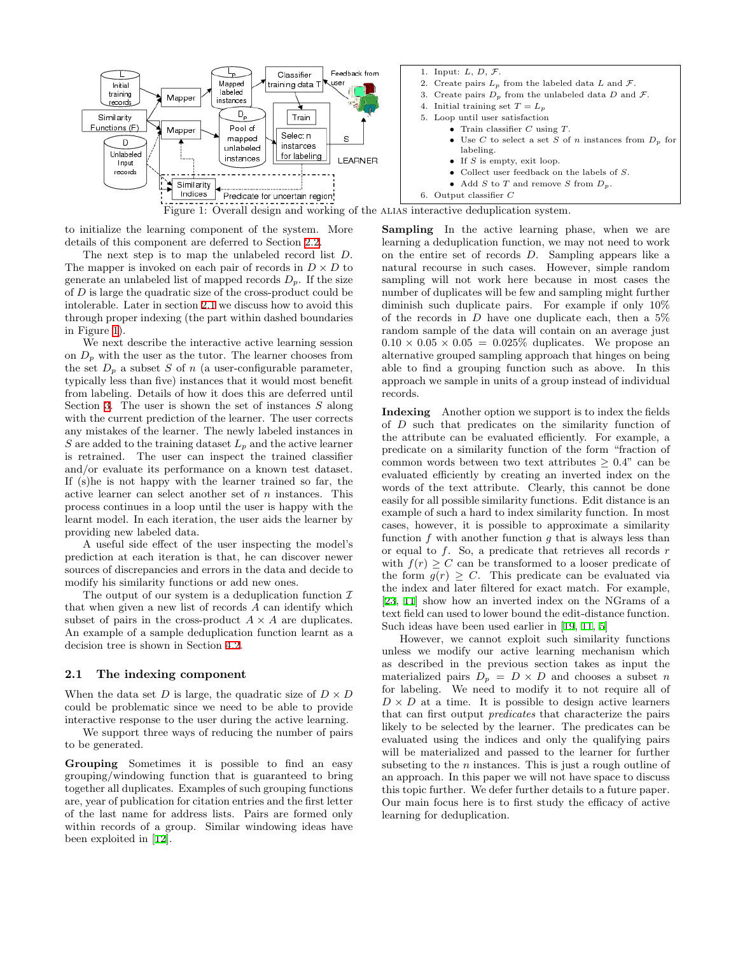

<span id="page-2-0"></span>to initialize the learning component of the system. More details of this component are deferred to Section [2.2.](#page-3-1)

The next step is to map the unlabeled record list D. The mapper is invoked on each pair of records in  $D \times D$  to generate an unlabeled list of mapped records  $D_p$ . If the size of D is large the quadratic size of the cross-product could be intolerable. Later in section [2.1](#page-2-1) we discuss how to avoid this through proper indexing (the part within dashed boundaries in Figure [1](#page-2-0)).

We next describe the interactive active learning session on  $D_p$  with the user as the tutor. The learner chooses from the set  $D_p$  a subset S of n (a user-configurable parameter, typically less than five) instances that it would most benefit from labeling. Details of how it does this are deferred until Section [3](#page-3-0). The user is shown the set of instances  $S$  along with the current prediction of the learner. The user corrects any mistakes of the learner. The newly labeled instances in S are added to the training dataset  $L_p$  and the active learner is retrained. The user can inspect the trained classifier and/or evaluate its performance on a known test dataset. If (s)he is not happy with the learner trained so far, the active learner can select another set of  $n$  instances. This process continues in a loop until the user is happy with the learnt model. In each iteration, the user aids the learner by providing new labeled data.

A useful side effect of the user inspecting the model's prediction at each iteration is that, he can discover newer sources of discrepancies and errors in the data and decide to modify his similarity functions or add new ones.

The output of our system is a deduplication function  $\mathcal I$ that when given a new list of records A can identify which subset of pairs in the cross-product  $A \times A$  are duplicates. An example of a sample deduplication function learnt as a decision tree is shown in Section [4.2](#page-6-0).

#### <span id="page-2-1"></span>2.1 The indexing component

When the data set D is large, the quadratic size of  $D \times D$ could be problematic since we need to be able to provide interactive response to the user during the active learning.

We support three ways of reducing the number of pairs to be generated.

Grouping Sometimes it is possible to find an easy grouping/windowing function that is guaranteed to bring together all duplicates. Examples of such grouping functions are, year of publication for citation entries and the first letter of the last name for address lists. Pairs are formed only within records of a group. Similar windowing ideas have been exploited in[[12\]](#page-9-7).

Sampling In the active learning phase, when we are learning a deduplication function, we may not need to work on the entire set of records D. Sampling appears like a natural recourse in such cases. However, simple random sampling will not work here because in most cases the number of duplicates will be few and sampling might further diminish such duplicate pairs. For example if only 10% of the records in  $D$  have one duplicate each, then a  $5\%$ random sample of the data will contain on an average just  $0.10 \times 0.05 \times 0.05 = 0.025\%$  duplicates. We propose an alternative grouped sampling approach that hinges on being able to find a grouping function such as above. In this approach we sample in units of a group instead of individual records.

Indexing Another option we support is to index the fields of D such that predicates on the similarity function of the attribute can be evaluated efficiently. For example, a predicate on a similarity function of the form "fraction of common words between two text attributes  $\geq 0.4$ " can be evaluated efficiently by creating an inverted index on the words of the text attribute. Clearly, this cannot be done easily for all possible similarity functions. Edit distance is an example of such a hard to index similarity function. In most cases, however, it is possible to approximate a similarity function  $f$  with another function  $g$  that is always less than or equal to  $f$ . So, a predicate that retrieves all records  $r$ with  $f(r) > C$  can be transformed to a looser predicate of the form  $q(r) > C$ . This predicate can be evaluated via the index and later filtered for exact match. For example, [\[23,](#page-9-8) [11](#page-9-9)] show how an inverted index on the NGrams of a text field can used to lower bound the edit-distance function. Such ideas have been used earlier in[[19,](#page-9-10) [11,](#page-9-9) [5](#page-9-11)]

However, we cannot exploit such similarity functions unless we modify our active learning mechanism which as described in the previous section takes as input the materialized pairs  $D_p = D \times D$  and chooses a subset n for labeling. We need to modify it to not require all of  $D \times D$  at a time. It is possible to design active learners that can first output predicates that characterize the pairs likely to be selected by the learner. The predicates can be evaluated using the indices and only the qualifying pairs will be materialized and passed to the learner for further subseting to the  $n$  instances. This is just a rough outline of an approach. In this paper we will not have space to discuss this topic further. We defer further details to a future paper. Our main focus here is to first study the efficacy of active learning for deduplication.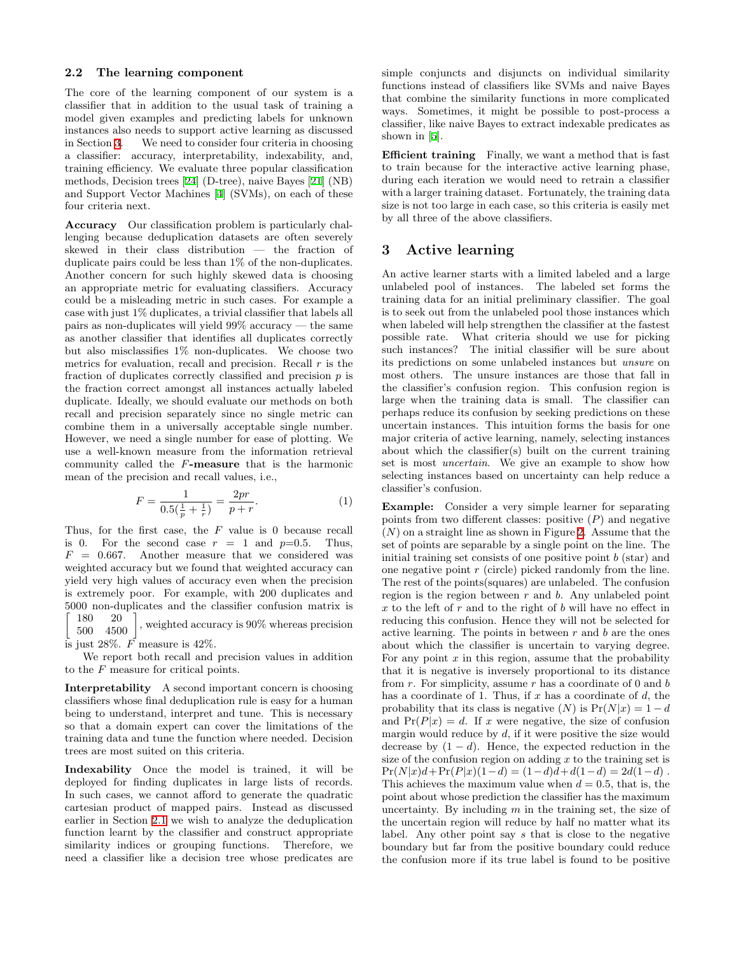#### <span id="page-3-1"></span>2.2 The learning component

The core of the learning component of our system is a classifier that in addition to the usual task of training a model given examples and predicting labels for unknown instances also needs to support active learning as discussed in Section [3.](#page-3-0) We need to consider four criteria in choosing a classifier: accuracy, interpretability, indexability, and, training efficiency. We evaluate three popular classification methods, Decision trees[[24\]](#page-9-12) (D-tree), naive Bayes[[21](#page-9-13)] (NB) and Support Vector Machines [\[4\]](#page-9-14) (SVMs), on each of these four criteria next.

Accuracy Our classification problem is particularly challenging because deduplication datasets are often severely skewed in their class distribution — the fraction of duplicate pairs could be less than 1% of the non-duplicates. Another concern for such highly skewed data is choosing an appropriate metric for evaluating classifiers. Accuracy could be a misleading metric in such cases. For example a case with just 1% duplicates, a trivial classifier that labels all pairs as non-duplicates will yield 99% accuracy — the same as another classifier that identifies all duplicates correctly but also misclassifies 1% non-duplicates. We choose two metrics for evaluation, recall and precision. Recall  $r$  is the fraction of duplicates correctly classified and precision  $p$  is the fraction correct amongst all instances actually labeled duplicate. Ideally, we should evaluate our methods on both recall and precision separately since no single metric can combine them in a universally acceptable single number. However, we need a single number for ease of plotting. We use a well-known measure from the information retrieval community called the F-measure that is the harmonic mean of the precision and recall values, i.e.,

$$
F = \frac{1}{0.5(\frac{1}{p} + \frac{1}{r})} = \frac{2pr}{p+r}.
$$
 (1)

Thus, for the first case, the  $F$  value is 0 because recall is 0. For the second case  $r = 1$  and  $p=0.5$ . Thus,  $F = 0.667$ . Another measure that we considered was weighted accuracy but we found that weighted accuracy can yield very high values of accuracy even when the precision is extremely poor. For example, with 200 duplicates and 5000 non-duplicates and the classifier confusion matrix is ſ 180 20

500 4500 , weighted accuracy is 90% whereas precision

is just 28%.  $\overline{F}$  measure is 42%.

We report both recall and precision values in addition to the F measure for critical points.

Interpretability A second important concern is choosing classifiers whose final deduplication rule is easy for a human being to understand, interpret and tune. This is necessary so that a domain expert can cover the limitations of the training data and tune the function where needed. Decision trees are most suited on this criteria.

Indexability Once the model is trained, it will be deployed for finding duplicates in large lists of records. In such cases, we cannot afford to generate the quadratic cartesian product of mapped pairs. Instead as discussed earlier in Section [2.1](#page-2-1) we wish to analyze the deduplication function learnt by the classifier and construct appropriate similarity indices or grouping functions. Therefore, we need a classifier like a decision tree whose predicates are

simple conjuncts and disjuncts on individual similarity functions instead of classifiers like SVMs and naive Bayes that combine the similarity functions in more complicated ways. Sometimes, it might be possible to post-process a classifier, like naive Bayes to extract indexable predicates as shown in [\[5\]](#page-9-11).

Efficient training Finally, we want a method that is fast to train because for the interactive active learning phase, during each iteration we would need to retrain a classifier with a larger training dataset. Fortunately, the training data size is not too large in each case, so this criteria is easily met by all three of the above classifiers.

## <span id="page-3-0"></span>3 Active learning

An active learner starts with a limited labeled and a large unlabeled pool of instances. The labeled set forms the training data for an initial preliminary classifier. The goal is to seek out from the unlabeled pool those instances which when labeled will help strengthen the classifier at the fastest possible rate. What criteria should we use for picking such instances? The initial classifier will be sure about its predictions on some unlabeled instances but unsure on most others. The unsure instances are those that fall in the classifier's confusion region. This confusion region is large when the training data is small. The classifier can perhaps reduce its confusion by seeking predictions on these uncertain instances. This intuition forms the basis for one major criteria of active learning, namely, selecting instances about which the classifier(s) built on the current training set is most uncertain. We give an example to show how selecting instances based on uncertainty can help reduce a classifier's confusion.

Example: Consider a very simple learner for separating points from two different classes: positive  $(P)$  and negative  $(N)$  on a straight line as shown in Figure [2](#page-4-0). Assume that the set of points are separable by a single point on the line. The initial training set consists of one positive point  $b$  (star) and one negative point  $r$  (circle) picked randomly from the line. The rest of the points(squares) are unlabeled. The confusion region is the region between  $r$  and  $b$ . Any unlabeled point  $x$  to the left of  $r$  and to the right of  $b$  will have no effect in reducing this confusion. Hence they will not be selected for active learning. The points in between  $r$  and  $b$  are the ones about which the classifier is uncertain to varying degree. For any point  $x$  in this region, assume that the probability that it is negative is inversely proportional to its distance from  $r$ . For simplicity, assume  $r$  has a coordinate of 0 and  $b$ has a coordinate of 1. Thus, if  $x$  has a coordinate of  $d$ , the probability that its class is negative  $(N)$  is  $Pr(N|x) = 1 - d$ and  $Pr(P|x) = d$ . If x were negative, the size of confusion margin would reduce by  $d$ , if it were positive the size would decrease by  $(1 - d)$ . Hence, the expected reduction in the size of the confusion region on adding  $x$  to the training set is  $Pr(N|x)d+Pr(P|x)(1-d) = (1-d)d+d(1-d) = 2d(1-d)$ . This achieves the maximum value when  $d = 0.5$ , that is, the point about whose prediction the classifier has the maximum uncertainty. By including  $m$  in the training set, the size of the uncertain region will reduce by half no matter what its label. Any other point say s that is close to the negative boundary but far from the positive boundary could reduce the confusion more if its true label is found to be positive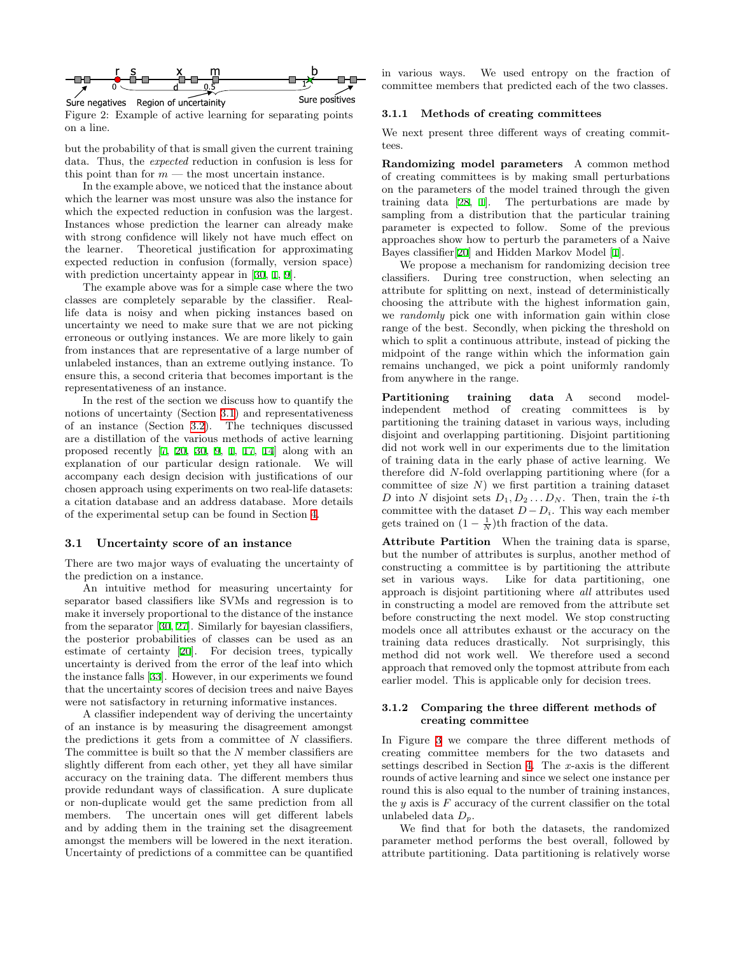

<span id="page-4-0"></span>Figure 2: Example of active learning for separating points on a line.

but the probability of that is small given the current training data. Thus, the expected reduction in confusion is less for this point than for  $m$  — the most uncertain instance.

In the example above, we noticed that the instance about which the learner was most unsure was also the instance for which the expected reduction in confusion was the largest. Instances whose prediction the learner can already make with strong confidence will likely not have much effect on the learner. Theoretical justification for approximating expected reduction in confusion (formally, version space) with prediction uncertainty appear in [\[30](#page-9-15), [1](#page-8-3), [9\]](#page-9-6).

The example above was for a simple case where the two classes are completely separable by the classifier. Reallife data is noisy and when picking instances based on uncertainty we need to make sure that we are not picking erroneous or outlying instances. We are more likely to gain from instances that are representative of a large number of unlabeled instances, than an extreme outlying instance. To ensure this, a second criteria that becomes important is the representativeness of an instance.

In the rest of the section we discuss how to quantify the notions of uncertainty (Section [3.1\)](#page-4-1) and representativeness of an instance (Section [3.2\)](#page-5-1). The techniques discussed are a distillation of the various methods of active learning proposed recently[[7](#page-9-5), [20,](#page-9-16) [30,](#page-9-15) [9,](#page-9-6) [1,](#page-8-3) [17,](#page-9-17) [14](#page-9-18)] along with an explanation of our particular design rationale. We will accompany each design decision with justifications of our chosen approach using experiments on two real-life datasets: a citation database and an address database. More details of the experimental setup can be found in Section [4.](#page-5-0)

#### <span id="page-4-1"></span>3.1 Uncertainty score of an instance

There are two major ways of evaluating the uncertainty of the prediction on a instance.

An intuitive method for measuring uncertainty for separator based classifiers like SVMs and regression is to make it inversely proportional to the distance of the instance from the separator [\[30,](#page-9-15) [27\]](#page-9-19). Similarly for bayesian classifiers, the posterior probabilities of classes can be used as an estimate of certainty [\[20\]](#page-9-16). For decision trees, typically uncertainty is derived from the error of the leaf into which the instance falls[[33\]](#page-9-20). However, in our experiments we found that the uncertainty scores of decision trees and naive Bayes were not satisfactory in returning informative instances.

A classifier independent way of deriving the uncertainty of an instance is by measuring the disagreement amongst the predictions it gets from a committee of  $N$  classifiers. The committee is built so that the  $N$  member classifiers are slightly different from each other, yet they all have similar accuracy on the training data. The different members thus provide redundant ways of classification. A sure duplicate or non-duplicate would get the same prediction from all members. The uncertain ones will get different labels and by adding them in the training set the disagreement amongst the members will be lowered in the next iteration. Uncertainty of predictions of a committee can be quantified

in various ways. We used entropy on the fraction of committee members that predicted each of the two classes.

#### 3.1.1 Methods of creating committees

We next present three different ways of creating committees.

Randomizing model parameters A common method of creating committees is by making small perturbations on the parameters of the model trained through the given training data [\[28,](#page-9-21) [1](#page-8-3)]. The perturbations are made by sampling from a distribution that the particular training parameter is expected to follow. Some of the previous approaches show how to perturb the parameters of a Naive Bayes classifier[[20\]](#page-9-16) and Hidden Markov Model[[1](#page-8-3)].

We propose a mechanism for randomizing decision tree classifiers. During tree construction, when selecting an attribute for splitting on next, instead of deterministically choosing the attribute with the highest information gain, we randomly pick one with information gain within close range of the best. Secondly, when picking the threshold on which to split a continuous attribute, instead of picking the midpoint of the range within which the information gain remains unchanged, we pick a point uniformly randomly from anywhere in the range.

Partitioning training data A second modelindependent method of creating committees is by partitioning the training dataset in various ways, including disjoint and overlapping partitioning. Disjoint partitioning did not work well in our experiments due to the limitation of training data in the early phase of active learning. We therefore did N-fold overlapping partitioning where (for a committee of size  $N$ ) we first partition a training dataset D into N disjoint sets  $D_1, D_2 \ldots D_N$ . Then, train the *i*-th committee with the dataset  $D - D_i$ . This way each member gets trained on  $(1 - \frac{1}{N})$ th fraction of the data.

Attribute Partition When the training data is sparse, but the number of attributes is surplus, another method of constructing a committee is by partitioning the attribute set in various ways. Like for data partitioning, one approach is disjoint partitioning where all attributes used in constructing a model are removed from the attribute set before constructing the next model. We stop constructing models once all attributes exhaust or the accuracy on the training data reduces drastically. Not surprisingly, this method did not work well. We therefore used a second approach that removed only the topmost attribute from each earlier model. This is applicable only for decision trees.

#### 3.1.2 Comparing the three different methods of creating committee

In Figure [3](#page-5-2) we compare the three different methods of creating committee members for the two datasets and settings described in Section [4](#page-5-0). The  $x$ -axis is the different rounds of active learning and since we select one instance per round this is also equal to the number of training instances, the y axis is  $F$  accuracy of the current classifier on the total unlabeled data  $D_p$ .

We find that for both the datasets, the randomized parameter method performs the best overall, followed by attribute partitioning. Data partitioning is relatively worse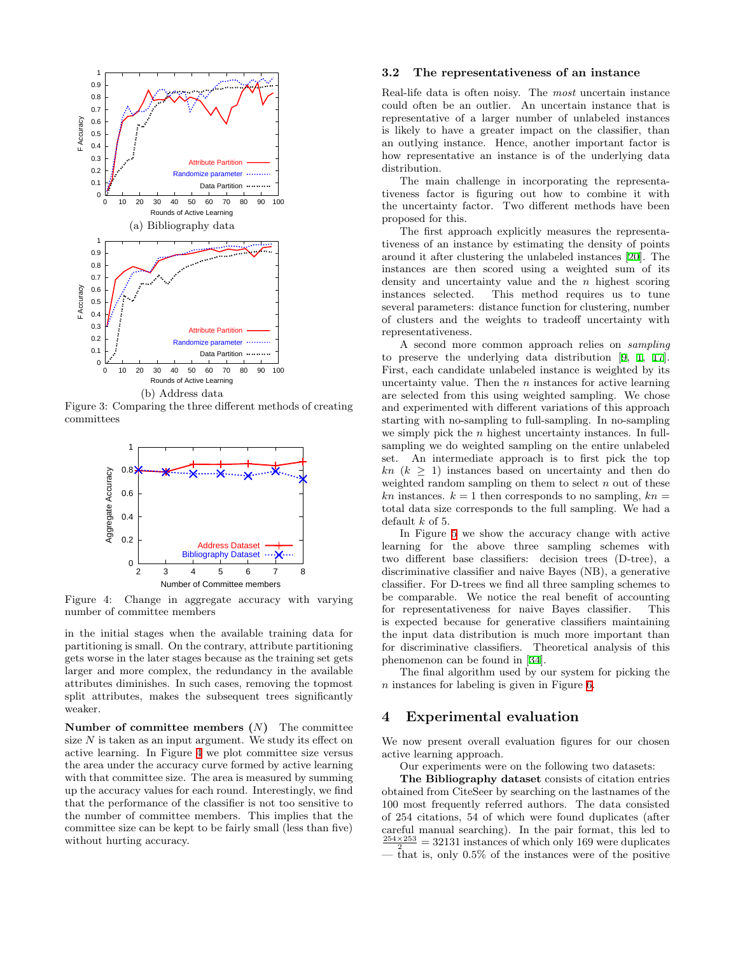

Figure 3: Comparing the three different methods of creating committees

<span id="page-5-2"></span>

<span id="page-5-3"></span>Figure 4: Change in aggregate accuracy with varying number of committee members

in the initial stages when the available training data for partitioning is small. On the contrary, attribute partitioning gets worse in the later stages because as the training set gets larger and more complex, the redundancy in the available attributes diminishes. In such cases, removing the topmost split attributes, makes the subsequent trees significantly weaker.

Number of committee members  $(N)$  The committee size  $N$  is taken as an input argument. We study its effect on active learning. In Figure [4](#page-5-3) we plot committee size versus the area under the accuracy curve formed by active learning with that committee size. The area is measured by summing up the accuracy values for each round. Interestingly, we find that the performance of the classifier is not too sensitive to the number of committee members. This implies that the committee size can be kept to be fairly small (less than five) without hurting accuracy.

#### <span id="page-5-1"></span>3.2 The representativeness of an instance

Real-life data is often noisy. The most uncertain instance could often be an outlier. An uncertain instance that is representative of a larger number of unlabeled instances is likely to have a greater impact on the classifier, than an outlying instance. Hence, another important factor is how representative an instance is of the underlying data distribution.

The main challenge in incorporating the representativeness factor is figuring out how to combine it with the uncertainty factor. Two different methods have been proposed for this.

The first approach explicitly measures the representativeness of an instance by estimating the density of points around it after clustering the unlabeled instances [\[20\]](#page-9-16). The instances are then scored using a weighted sum of its density and uncertainty value and the n highest scoring instances selected. This method requires us to tune several parameters: distance function for clustering, number of clusters and the weights to tradeoff uncertainty with representativeness.

A second more common approach relies on sampling to preserve the underlying data distribution[[9](#page-9-6), [1](#page-8-3), [17\]](#page-9-17). First, each candidate unlabeled instance is weighted by its uncertainty value. Then the  $n$  instances for active learning are selected from this using weighted sampling. We chose and experimented with different variations of this approach starting with no-sampling to full-sampling. In no-sampling we simply pick the  $n$  highest uncertainty instances. In fullsampling we do weighted sampling on the entire unlabeled set. An intermediate approach is to first pick the top  $kn (k > 1)$  instances based on uncertainty and then do weighted random sampling on them to select  $n$  out of these kn instances.  $k = 1$  then corresponds to no sampling,  $kn =$ total data size corresponds to the full sampling. We had a default  $k$  of 5.

In Figure [5](#page-6-1) we show the accuracy change with active learning for the above three sampling schemes with two different base classifiers: decision trees (D-tree), a discriminative classifier and naive Bayes (NB), a generative classifier. For D-trees we find all three sampling schemes to be comparable. We notice the real benefit of accounting for representativeness for naive Bayes classifier. This is expected because for generative classifiers maintaining the input data distribution is much more important than for discriminative classifiers. Theoretical analysis of this phenomenon can be found in [\[34](#page-9-22)].

The final algorithm used by our system for picking the n instances for labeling is given in Figure [6](#page-6-2).

## <span id="page-5-0"></span>4 Experimental evaluation

We now present overall evaluation figures for our chosen active learning approach.

Our experiments were on the following two datasets:

The Bibliography dataset consists of citation entries obtained from CiteSeer by searching on the lastnames of the 100 most frequently referred authors. The data consisted of 254 citations, 54 of which were found duplicates (after careful manual searching). In the pair format, this led to  $\frac{254\times253}{2}$  = 32131 instances of which only 169 were duplicates — that is, only  $0.5\%$  of the instances were of the positive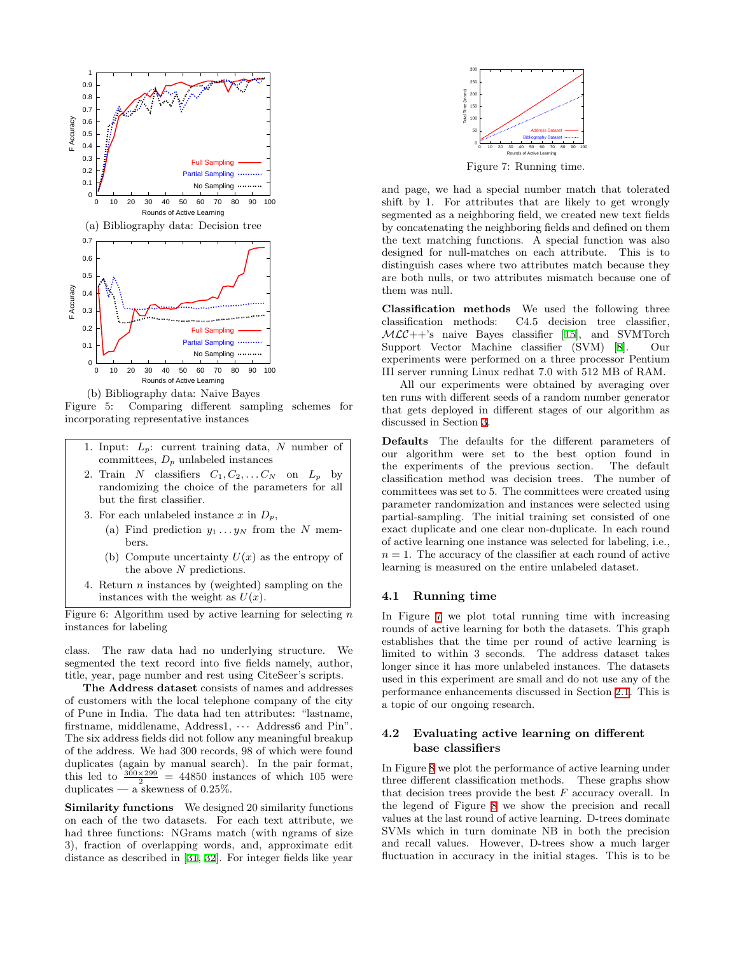

<span id="page-6-1"></span>(b) Bibliography data: Naive Bayes

Figure 5: Comparing different sampling schemes for incorporating representative instances

- 1. Input:  $L_p$ : current training data, N number of committees,  $D_p$  unlabeled instances
- 2. Train N classifiers  $C_1, C_2, \ldots C_N$  on  $L_p$  by randomizing the choice of the parameters for all but the first classifier.
- 3. For each unlabeled instance x in  $D_p$ ,
	- (a) Find prediction  $y_1 \ldots y_N$  from the N members.
	- (b) Compute uncertainty  $U(x)$  as the entropy of the above  $N$  predictions.
- <span id="page-6-2"></span>4. Return n instances by (weighted) sampling on the instances with the weight as  $U(x)$ .

Figure 6: Algorithm used by active learning for selecting  $n$ instances for labeling

class. The raw data had no underlying structure. We segmented the text record into five fields namely, author, title, year, page number and rest using CiteSeer's scripts.

The Address dataset consists of names and addresses of customers with the local telephone company of the city of Pune in India. The data had ten attributes: "lastname, firstname, middlename, Address1,  $\cdots$  Address6 and Pin". The six address fields did not follow any meaningful breakup of the address. We had 300 records, 98 of which were found duplicates (again by manual search). In the pair format, this led to  $\frac{300\times299}{2}$  = 44850 instances of which 105 were duplicates — a skewness of 0.25%.

Similarity functions We designed 20 similarity functions on each of the two datasets. For each text attribute, we had three functions: NGrams match (with ngrams of size 3), fraction of overlapping words, and, approximate edit distance as described in [\[31](#page-9-2), [32](#page-9-3)]. For integer fields like year



<span id="page-6-3"></span>Figure 7: Running time.

and page, we had a special number match that tolerated shift by 1. For attributes that are likely to get wrongly segmented as a neighboring field, we created new text fields by concatenating the neighboring fields and defined on them the text matching functions. A special function was also designed for null-matches on each attribute. This is to distinguish cases where two attributes match because they are both nulls, or two attributes mismatch because one of them was null.

Classification methods We used the following three classification methods: C4.5 decision tree classifier,  $MLC++$ 's naive Bayes classifier [\[15\]](#page-9-23), and SVMTorch Support Vector Machine classifier (SVM) [\[8\]](#page-9-24). Our experiments were performed on a three processor Pentium III server running Linux redhat 7.0 with 512 MB of RAM.

All our experiments were obtained by averaging over ten runs with different seeds of a random number generator that gets deployed in different stages of our algorithm as discussed in Section [3.](#page-3-0)

Defaults The defaults for the different parameters of our algorithm were set to the best option found in the experiments of the previous section. The default classification method was decision trees. The number of committees was set to 5. The committees were created using parameter randomization and instances were selected using partial-sampling. The initial training set consisted of one exact duplicate and one clear non-duplicate. In each round of active learning one instance was selected for labeling, i.e.,  $n = 1$ . The accuracy of the classifier at each round of active learning is measured on the entire unlabeled dataset.

#### 4.1 Running time

In Figure [7](#page-6-3) we plot total running time with increasing rounds of active learning for both the datasets. This graph establishes that the time per round of active learning is limited to within 3 seconds. The address dataset takes longer since it has more unlabeled instances. The datasets used in this experiment are small and do not use any of the performance enhancements discussed in Section [2.1](#page-2-1). This is a topic of our ongoing research.

## <span id="page-6-0"></span>4.2 Evaluating active learning on different base classifiers

In Figure [8](#page-7-0) we plot the performance of active learning under three different classification methods. These graphs show that decision trees provide the best  $F$  accuracy overall. In the legend of Figure [8](#page-7-0) we show the precision and recall values at the last round of active learning. D-trees dominate SVMs which in turn dominate NB in both the precision and recall values. However, D-trees show a much larger fluctuation in accuracy in the initial stages. This is to be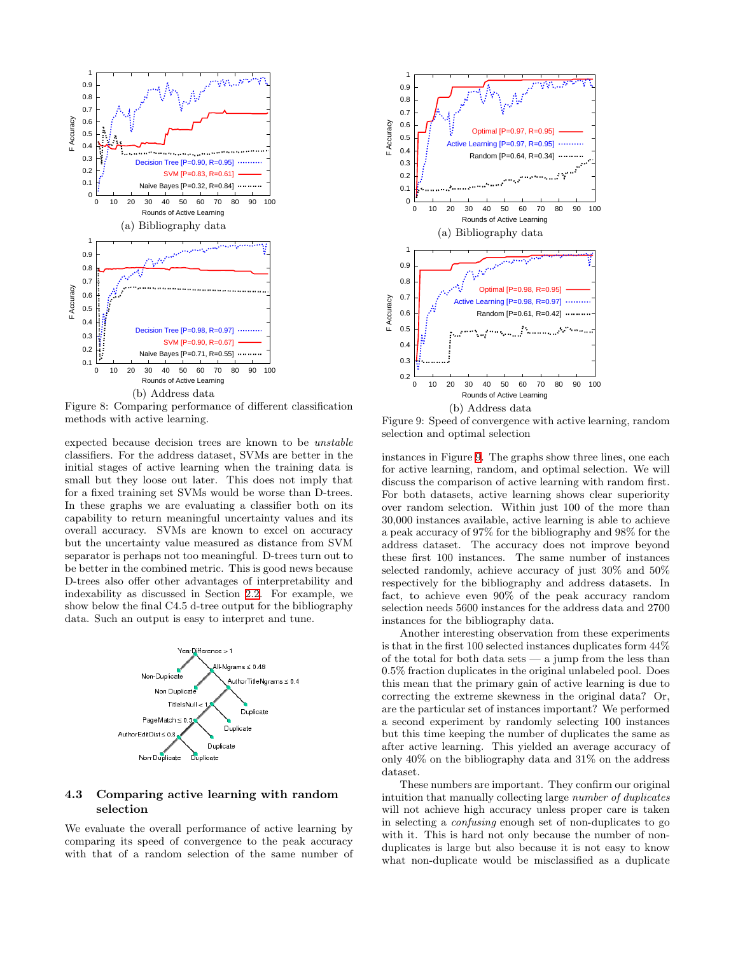

<span id="page-7-0"></span>Figure 8: Comparing performance of different classification methods with active learning.

expected because decision trees are known to be unstable classifiers. For the address dataset, SVMs are better in the initial stages of active learning when the training data is small but they loose out later. This does not imply that for a fixed training set SVMs would be worse than D-trees. In these graphs we are evaluating a classifier both on its capability to return meaningful uncertainty values and its overall accuracy. SVMs are known to excel on accuracy but the uncertainty value measured as distance from SVM separator is perhaps not too meaningful. D-trees turn out to be better in the combined metric. This is good news because D-trees also offer other advantages of interpretability and indexability as discussed in Section [2.2](#page-3-1). For example, we show below the final C4.5 d-tree output for the bibliography data. Such an output is easy to interpret and tune.



## 4.3 Comparing active learning with random selection

We evaluate the overall performance of active learning by comparing its speed of convergence to the peak accuracy with that of a random selection of the same number of



<span id="page-7-1"></span>Figure 9: Speed of convergence with active learning, random selection and optimal selection

instances in Figure [9](#page-7-1). The graphs show three lines, one each for active learning, random, and optimal selection. We will discuss the comparison of active learning with random first. For both datasets, active learning shows clear superiority over random selection. Within just 100 of the more than 30,000 instances available, active learning is able to achieve a peak accuracy of 97% for the bibliography and 98% for the address dataset. The accuracy does not improve beyond these first 100 instances. The same number of instances selected randomly, achieve accuracy of just 30% and 50% respectively for the bibliography and address datasets. In fact, to achieve even 90% of the peak accuracy random selection needs 5600 instances for the address data and 2700 instances for the bibliography data.

Another interesting observation from these experiments is that in the first 100 selected instances duplicates form 44% of the total for both data sets  $-$  a jump from the less than 0.5% fraction duplicates in the original unlabeled pool. Does this mean that the primary gain of active learning is due to correcting the extreme skewness in the original data? Or, are the particular set of instances important? We performed a second experiment by randomly selecting 100 instances but this time keeping the number of duplicates the same as after active learning. This yielded an average accuracy of only 40% on the bibliography data and 31% on the address dataset.

These numbers are important. They confirm our original intuition that manually collecting large number of duplicates will not achieve high accuracy unless proper care is taken in selecting a confusing enough set of non-duplicates to go with it. This is hard not only because the number of nonduplicates is large but also because it is not easy to know what non-duplicate would be misclassified as a duplicate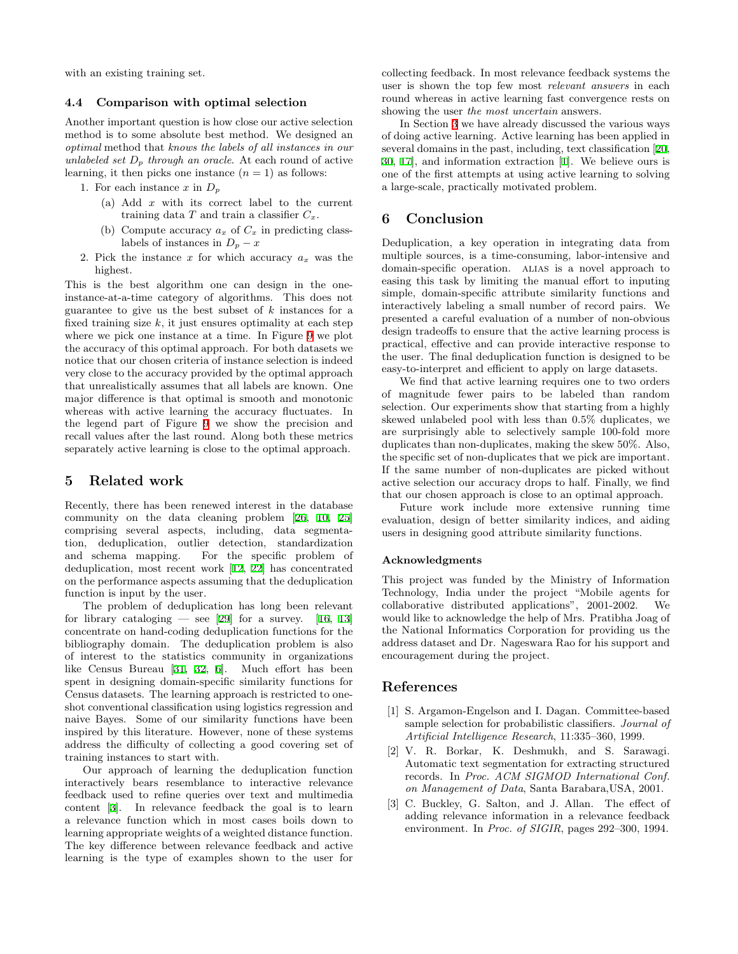with an existing training set.

#### 4.4 Comparison with optimal selection

Another important question is how close our active selection method is to some absolute best method. We designed an optimal method that knows the labels of all instances in our unlabeled set  $D_p$  through an oracle. At each round of active learning, it then picks one instance  $(n = 1)$  as follows:

- 1. For each instance x in  $D_p$ 
	- (a) Add x with its correct label to the current training data T and train a classifier  $C_x$ .
	- (b) Compute accuracy  $a_x$  of  $C_x$  in predicting classlabels of instances in  $D_p - x$
- 2. Pick the instance x for which accuracy  $a_x$  was the highest.

This is the best algorithm one can design in the oneinstance-at-a-time category of algorithms. This does not guarantee to give us the best subset of  $k$  instances for a fixed training size  $k$ , it just ensures optimality at each step where we pick one instance at a time. In Figure [9](#page-7-1) we plot the accuracy of this optimal approach. For both datasets we notice that our chosen criteria of instance selection is indeed very close to the accuracy provided by the optimal approach that unrealistically assumes that all labels are known. One major difference is that optimal is smooth and monotonic whereas with active learning the accuracy fluctuates. In the legend part of Figure [9](#page-7-1) we show the precision and recall values after the last round. Along both these metrics separately active learning is close to the optimal approach.

## <span id="page-8-1"></span>5 Related work

Recently, there has been renewed interest in the database community on the data cleaning problem[[26](#page-9-25), [10](#page-9-26), [25](#page-9-27)] comprising several aspects, including, data segmentation, deduplication, outlier detection, standardization and schema mapping. For the specific problem of deduplication, most recent work[[12,](#page-9-7) [22\]](#page-9-28) has concentrated on the performance aspects assuming that the deduplication function is input by the user.

The problem of deduplication has long been relevant forlibrary cataloging — see [[29\]](#page-9-29) for a survey. [\[16,](#page-9-0) [13](#page-9-30)] concentrate on hand-coding deduplication functions for the bibliography domain. The deduplication problem is also of interest to the statistics community in organizations like Census Bureau [\[31](#page-9-2), [32,](#page-9-3) [6\]](#page-9-4). Much effort has been spent in designing domain-specific similarity functions for Census datasets. The learning approach is restricted to oneshot conventional classification using logistics regression and naive Bayes. Some of our similarity functions have been inspired by this literature. However, none of these systems address the difficulty of collecting a good covering set of training instances to start with.

Our approach of learning the deduplication function interactively bears resemblance to interactive relevance feedback used to refine queries over text and multimedia content [\[3](#page-8-4)]. In relevance feedback the goal is to learn a relevance function which in most cases boils down to learning appropriate weights of a weighted distance function. The key difference between relevance feedback and active learning is the type of examples shown to the user for

collecting feedback. In most relevance feedback systems the user is shown the top few most relevant answers in each round whereas in active learning fast convergence rests on showing the user the most uncertain answers.

In Section [3](#page-3-0) we have already discussed the various ways of doing active learning. Active learning has been applied in several domains in the past, including, text classification [\[20](#page-9-16), [30](#page-9-15), [17](#page-9-17)], and information extraction [\[1\]](#page-8-3). We believe ours is one of the first attempts at using active learning to solving a large-scale, practically motivated problem.

# <span id="page-8-2"></span>6 Conclusion

Deduplication, a key operation in integrating data from multiple sources, is a time-consuming, labor-intensive and domain-specific operation. alias is a novel approach to easing this task by limiting the manual effort to inputing simple, domain-specific attribute similarity functions and interactively labeling a small number of record pairs. We presented a careful evaluation of a number of non-obvious design tradeoffs to ensure that the active learning process is practical, effective and can provide interactive response to the user. The final deduplication function is designed to be easy-to-interpret and efficient to apply on large datasets.

We find that active learning requires one to two orders of magnitude fewer pairs to be labeled than random selection. Our experiments show that starting from a highly skewed unlabeled pool with less than 0.5% duplicates, we are surprisingly able to selectively sample 100-fold more duplicates than non-duplicates, making the skew 50%. Also, the specific set of non-duplicates that we pick are important. If the same number of non-duplicates are picked without active selection our accuracy drops to half. Finally, we find that our chosen approach is close to an optimal approach.

Future work include more extensive running time evaluation, design of better similarity indices, and aiding users in designing good attribute similarity functions.

#### Acknowledgments

This project was funded by the Ministry of Information Technology, India under the project "Mobile agents for collaborative distributed applications", 2001-2002. We would like to acknowledge the help of Mrs. Pratibha Joag of the National Informatics Corporation for providing us the address dataset and Dr. Nageswara Rao for his support and encouragement during the project.

## References

- <span id="page-8-3"></span>[1] S. Argamon-Engelson and I. Dagan. Committee-based sample selection for probabilistic classifiers. Journal of Artificial Intelligence Research, 11:335–360, 1999.
- <span id="page-8-0"></span>[2] V. R. Borkar, K. Deshmukh, and S. Sarawagi. Automatic text segmentation for extracting structured records. In Proc. ACM SIGMOD International Conf. on Management of Data, Santa Barabara,USA, 2001.
- <span id="page-8-4"></span>[3] C. Buckley, G. Salton, and J. Allan. The effect of adding relevance information in a relevance feedback environment. In Proc. of SIGIR, pages 292–300, 1994.